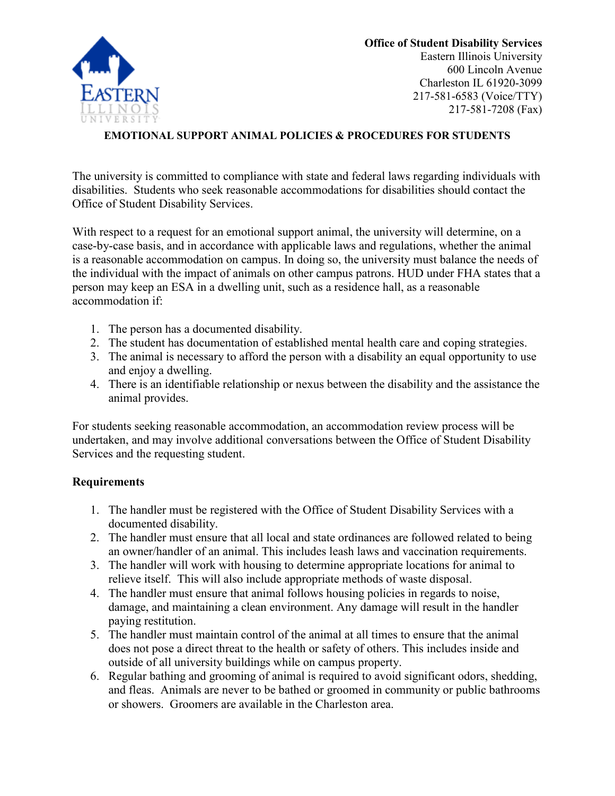

**Office of Student Disability Services**  Eastern Illinois University 600 Lincoln Avenue Charleston IL 61920-3099 217-581-6583 (Voice/TTY) 217-581-7208 (Fax)

## **EMOTIONAL SUPPORT ANIMAL POLICIES & PROCEDURES FOR STUDENTS**

The university is committed to compliance with state and federal laws regarding individuals with disabilities. Students who seek reasonable accommodations for disabilities should contact the Office of Student Disability Services.

With respect to a request for an emotional support animal, the university will determine, on a case-by-case basis, and in accordance with applicable laws and regulations, whether the animal is a reasonable accommodation on campus. In doing so, the university must balance the needs of the individual with the impact of animals on other campus patrons. HUD under FHA states that a person may keep an ESA in a dwelling unit, such as a residence hall, as a reasonable accommodation if:

- 1. The person has a documented disability.
- 2. The student has documentation of established mental health care and coping strategies.
- 3. The animal is necessary to afford the person with a disability an equal opportunity to use and enjoy a dwelling.
- 4. There is an identifiable relationship or nexus between the disability and the assistance the animal provides.

For students seeking reasonable accommodation, an accommodation review process will be undertaken, and may involve additional conversations between the Office of Student Disability Services and the requesting student.

## **Requirements**

- 1. The handler must be registered with the Office of Student Disability Services with a documented disability.
- 2. The handler must ensure that all local and state ordinances are followed related to being an owner/handler of an animal. This includes leash laws and vaccination requirements.
- 3. The handler will work with housing to determine appropriate locations for animal to relieve itself. This will also include appropriate methods of waste disposal.
- 4. The handler must ensure that animal follows housing policies in regards to noise, damage, and maintaining a clean environment. Any damage will result in the handler paying restitution.
- 5. The handler must maintain control of the animal at all times to ensure that the animal does not pose a direct threat to the health or safety of others. This includes inside and outside of all university buildings while on campus property.
- 6. Regular bathing and grooming of animal is required to avoid significant odors, shedding, and fleas. Animals are never to be bathed or groomed in community or public bathrooms or showers. Groomers are available in the Charleston area.